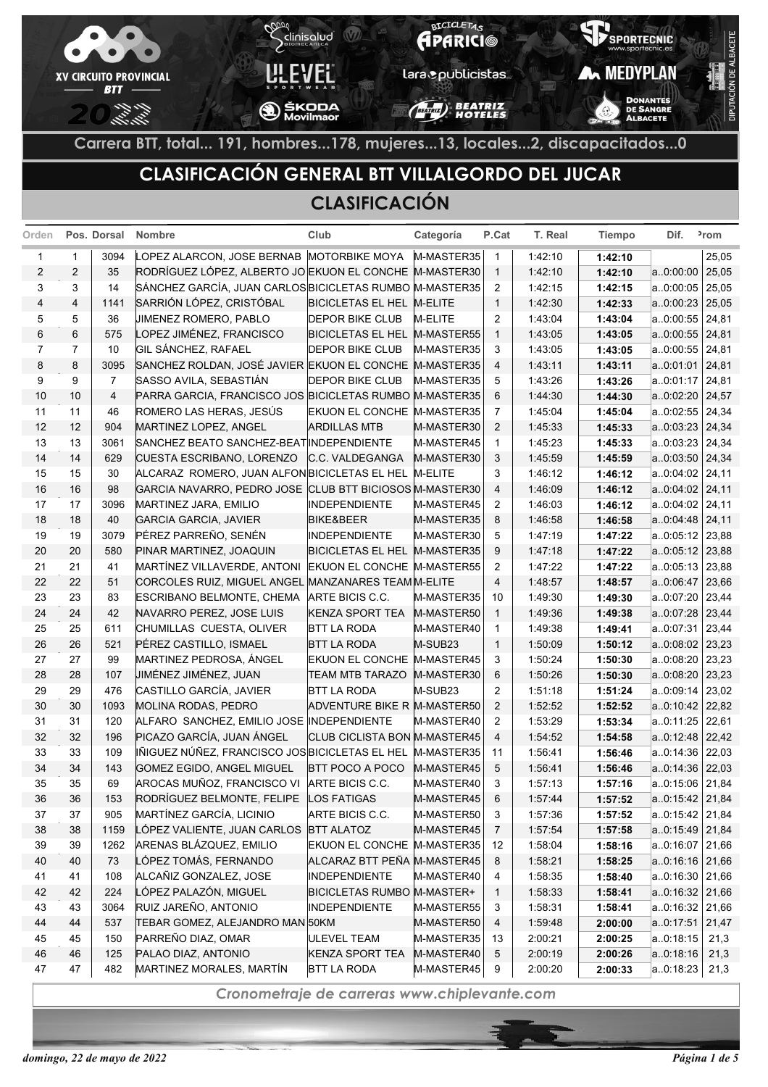

# **CLASIFICACIÓN GENERAL BTT VILLALGORDO DEL JUCAR**

#### **CLASIFICACIÓN**

|                         |                | Orden Pos. Dorsal | <b>Nombre</b>                                           | Club                         | Categoría  | P.Cat          | T. Real | <b>Tiempo</b> | Dif.              | <sup>2</sup> rom |
|-------------------------|----------------|-------------------|---------------------------------------------------------|------------------------------|------------|----------------|---------|---------------|-------------------|------------------|
| 1                       | 1              | 3094              | LOPEZ ALARCON, JOSE BERNAB MOTORBIKE MOYA               |                              | M-MASTER35 | $\mathbf{1}$   | 1:42:10 | 1:42:10       |                   | 25,05            |
| $\overline{\mathbf{c}}$ | $\overline{2}$ | 35                | RODRÍGUEZ LÓPEZ, ALBERTO JO EKUON EL CONCHE M-MASTER30  |                              |            | $\overline{1}$ | 1:42:10 | 1:42:10       | a.0:00:00         | 25,05            |
| 3                       | 3              | 14                | SÁNCHEZ GARCÍA, JUAN CARLOS BICICLETAS RUMBO M-MASTER35 |                              |            | 2              | 1:42:15 | 1:42:15       | a.0:00:05         | 25,05            |
| 4                       | 4              | 1141              | SARRIÓN LÓPEZ, CRISTÓBAL                                | BICICLETAS EL HEL M-ELITE    |            | $\mathbf{1}$   | 1:42:30 | 1:42:33       | a.0:00:23         | 25,05            |
| 5                       | 5              | 36                | JIMENEZ ROMERO, PABLO                                   | <b>DEPOR BIKE CLUB</b>       | M-ELITE    | 2              | 1:43:04 | 1:43:04       | a.0:00:55         | 24,81            |
| 6                       | 6              | 575               | LOPEZ JIMÉNEZ, FRANCISCO                                | <b>BICICLETAS EL HEL</b>     | M-MASTER55 | $\mathbf{1}$   | 1:43:05 | 1:43:05       | a.0:00:55         | 24,81            |
| $\overline{7}$          | $\overline{7}$ | 10                | GIL SÁNCHEZ, RAFAEL                                     | <b>DEPOR BIKE CLUB</b>       | M-MASTER35 | 3              | 1:43:05 | 1:43:05       | a.0:00:55         | 24,81            |
| 8                       | 8              | 3095              | SANCHEZ ROLDAN, JOSÉ JAVIER EKUON EL CONCHE M-MASTER35  |                              |            | $\overline{4}$ | 1:43:11 | 1:43:11       | a.0.01.01         | 24,81            |
| 9                       | 9              | $\overline{7}$    | SASSO AVILA, SEBASTIÁN                                  | <b>DEPOR BIKE CLUB</b>       | M-MASTER35 | 5              | 1:43:26 | 1:43:26       | a0:01:17          | 24,81            |
| 10                      | 10             | $\overline{4}$    | PARRA GARCIA, FRANCISCO JOS BICICLETAS RUMBO M-MASTER35 |                              |            | 6              | 1:44:30 | 1:44:30       | a.0:02:20         | 24,57            |
| 11                      | 11             | 46                | ROMERO LAS HERAS, JESÚS                                 | EKUON EL CONCHE M-MASTER35   |            | $\overline{7}$ | 1:45:04 | 1:45:04       | a0:02:55          | 24,34            |
| 12                      | 12             | 904               | MARTINEZ LOPEZ, ANGEL                                   | <b>ARDILLAS MTB</b>          | M-MASTER30 | $\overline{2}$ | 1:45:33 | 1:45:33       | a.0.03.23         | 24,34            |
| 13                      | 13             | 3061              | SANCHEZ BEATO SANCHEZ-BEAT INDEPENDIENTE                |                              | M-MASTER45 | 1              | 1:45:23 | 1:45:33       | a.0.03.23         | 24,34            |
| 14                      | 14             | 629               | CUESTA ESCRIBANO, LORENZO                               | C.C. VALDEGANGA              | M-MASTER30 | 3              | 1:45:59 | 1:45:59       | a.0.03.50         | 24,34            |
| 15                      | 15             | 30                | ALCARAZ ROMERO, JUAN ALFON BICICLETAS EL HEL            |                              | M-ELITE    | 3              | 1:46:12 | 1:46:12       | a.0.04.02         | 24,11            |
| 16                      | 16             | 98                | GARCIA NAVARRO, PEDRO JOSE CLUB BTT BICIOSOS M-MASTER30 |                              |            | $\overline{4}$ | 1:46:09 | 1:46:12       | a.0:04:02 24,11   |                  |
| 17                      | 17             | 3096              | MARTINEZ JARA, EMILIO                                   | INDEPENDIENTE                | M-MASTER45 | 2              | 1:46:03 | 1:46:12       | a.0.04.02         | 24,11            |
| 18                      | 18             | 40                | <b>GARCIA GARCIA, JAVIER</b>                            | <b>BIKE&amp;BEER</b>         | M-MASTER35 | 8              | 1:46:58 | 1:46:58       | a.0:04:48 24,11   |                  |
| 19                      | 19             | 3079              | PÉREZ PARREÑO, SENÉN                                    | <b>INDEPENDIENTE</b>         | M-MASTER30 | 5              | 1:47:19 | 1:47:22       | $a.0.05.12$ 23,88 |                  |
| 20                      | 20             | 580               | PINAR MARTINEZ, JOAQUIN                                 | <b>BICICLETAS EL HEL</b>     | M-MASTER35 | 9              | 1.47:18 | 1:47:22       | $a.0.05.12$ 23,88 |                  |
| 21                      | 21             | 41                | MARTÍNEZ VILLAVERDE, ANTONI                             | <b>EKUON EL CONCHE</b>       | M-MASTER55 | 2              | 1:47:22 | 1:47:22       | a.0:05:13         | 23,88            |
| 22                      | 22             | 51                | CORCOLES RUIZ, MIGUEL ANGEL MANZANARES TEAMM-ELITE      |                              |            | $\overline{4}$ | 1:48:57 | 1:48:57       | a.0:06:47         | 23,66            |
| 23                      | 23             | 83                | ESCRIBANO BELMONTE, CHEMA                               | ARTE BICIS C.C.              | M-MASTER35 | 10             | 1:49:30 | 1:49:30       | a. 0:07:20        | 23,44            |
| 24                      | 24             | 42                | NAVARRO PEREZ, JOSE LUIS                                | <b>KENZA SPORT TEA</b>       | M-MASTER50 | $\mathbf{1}$   | 1:49:36 | 1:49:38       | a.0:07:28         | 23,44            |
| 25                      | 25             | 611               | CHUMILLAS CUESTA, OLIVER                                | <b>BTT LA RODA</b>           | M-MASTER40 | 1              | 1:49:38 | 1:49:41       | a.0:07:31         | 23,44            |
| 26                      | 26             | 521               | PÉREZ CASTILLO, ISMAEL                                  | <b>BTT LA RODA</b>           | M-SUB23    | $\mathbf{1}$   | 1:50:09 | 1:50:12       | a.0:08:02         | 23,23            |
| 27                      | 27             | 99                | MARTINEZ PEDROSA, ÁNGEL                                 | EKUON EL CONCHE M-MASTER45   |            | 3              | 1:50:24 | 1:50:30       | a.0:08:20         | 23,23            |
| 28                      | 28             | 107               | JIMÉNEZ JIMÉNEZ, JUAN                                   | <b>TEAM MTB TARAZO</b>       | M-MASTER30 | 6              | 1:50:26 | 1:50:30       | a.0:08:20         | 23,23            |
| 29                      | 29             | 476               | CASTILLO GARCÍA, JAVIER                                 | <b>BTT LA RODA</b>           | M-SUB23    | 2              | 1:51:18 | 1:51:24       | a.0.09:14         | 23,02            |
| 30                      | 30             | 1093              | MOLINA RODAS, PEDRO                                     | ADVENTURE BIKE R M-MASTER50  |            | $\overline{2}$ | 1:52:52 | 1:52:52       | a.0.10.42         | 22,82            |
| 31                      | 31             | 120               | ALFARO SANCHEZ, EMILIO JOSE INDEPENDIENTE               |                              | M-MASTER40 | 2              | 1:53:29 | 1:53:34       | a.0:11:25         | 22,61            |
| 32                      | 32             | 196               | PICAZO GARCÍA, JUAN ÁNGEL                               | CLUB CICLISTA BON M-MASTER45 |            | $\overline{4}$ | 1:54:52 | 1:54:58       | a.0:12:48         | 22,42            |
| 33                      | 33             | 109               | IÑIGUEZ NÚÑEZ, FRANCISCO JOS BICICLETAS EL HEL          |                              | M-MASTER35 | 11             | 1:56:41 | 1:56:46       | a.0:14:36         | 22,03            |
| 34                      | 34             | 143               | GOMEZ EGIDO, ANGEL MIGUEL                               | <b>BTT POCO A POCO</b>       | M-MASTER45 | 5              | 1:56:41 | 1:56:46       | a.0:14:36         | 22,03            |
| 35                      | 35             | 69                | AROCAS MUÑOZ, FRANCISCO VI                              | ARTE BICIS C.C.              | M-MASTER40 | 3              | 1:57:13 | 1:57:16       | a.0.15.06 21,84   |                  |
| 36                      | 36             | 153               | RODRÍGUEZ BELMONTE, FELIPE                              | <b>LOS FATIGAS</b>           | M-MASTER45 | 6              | 1 57:44 | 1:57:52       | $a.0:15:42$ 21,84 |                  |
| 37                      | 37             | 905               | MARTÍNEZ GARCÍA, LICINIO                                | ARTE BICIS C.C.              | M-MASTER50 | 3              | 1:57:36 | 1:57:52       | a.0:15:42 21,84   |                  |
| 38                      | 38             | 1159              | LÓPEZ VALIENTE, JUAN CARLOS                             | <b>BTT ALATOZ</b>            | M-MASTER45 | 7              | 1:57:54 | 1:57:58       | $a.0.15.49$ 21,84 |                  |
| 39                      | 39             | 1262              | ARENAS BLÁZQUEZ, EMILIO                                 | <b>EKUON EL CONCHE</b>       | M-MASTER35 | 12             | 1:58:04 | 1:58:16       | a0:16:07 21,66    |                  |
| 40                      | 40             | 73                | LÓPEZ TOMÁS, FERNANDO                                   | ALCARAZ BTT PEÑA M-MASTER45  |            | 8              | 1:58:21 | 1:58:25       | $a.0.16.16$ 21,66 |                  |
| 41                      | 41             | 108               | ALCAÑIZ GONZALEZ, JOSE                                  | <b>INDEPENDIENTE</b>         | M-MASTER40 | 4              | 1:58:35 | 1:58:40       | a.0.16.30   21,66 |                  |
| 42                      | 42             | 224               | LÓPEZ PALAZÓN, MIGUEL                                   | BICICLETAS RUMBO M-MASTER+   |            | 1              | 1:58:33 | 1:58:41       | $a.0.16.32$ 21,66 |                  |
| 43                      | 43             | 3064              | RUIZ JAREÑO, ANTONIO                                    | <b>INDEPENDIENTE</b>         | M-MASTER55 | 3              | 1:58:31 | 1:58:41       | a.0.16.32   21,66 |                  |
| 44                      | 44             | 537               | TEBAR GOMEZ, ALEJANDRO MAN 50KM                         |                              | M-MASTER50 | 4              | 1:59:48 | 2:00:00       | $a.0.17.51$ 21,47 |                  |
| 45                      | 45             | 150               | PARREÑO DIAZ, OMAR                                      | <b>ULEVEL TEAM</b>           | M-MASTER35 | 13             | 2:00:21 | 2:00:25       | a.0:18:15         | 21,3             |
| 46                      | 46             | 125               | PALAO DIAZ, ANTONIO                                     | <b>KENZA SPORT TEA</b>       | M-MASTER40 | 5              | 2:00:19 | 2:00:26       | a.0:18:16         | 21,3             |
| 47                      | 47             | 482               | MARTINEZ MORALES, MARTÍN                                | <b>BTT LA RODA</b>           | M-MASTER45 | 9              | 2:00:20 | 2:00:33       | a.0:18:23         | 21,3             |
|                         |                |                   |                                                         |                              |            |                |         |               |                   |                  |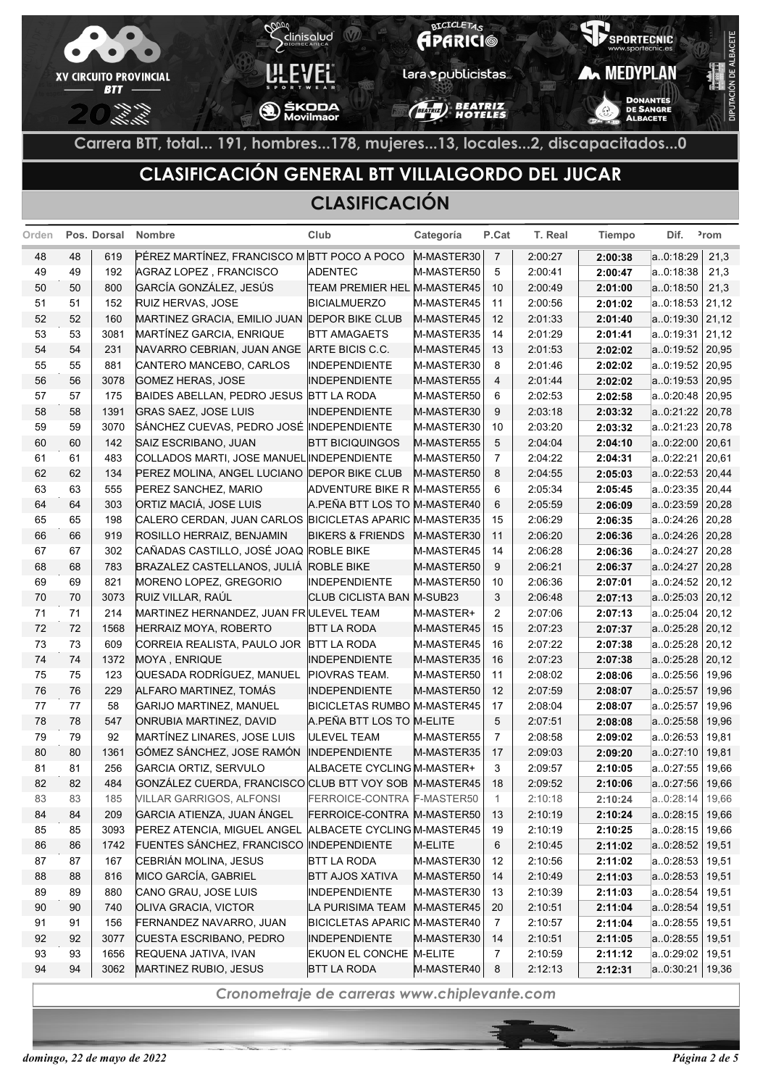

## **CLASIFICACIÓN GENERAL BTT VILLALGORDO DEL JUCAR**

#### **CLASIFICACIÓN**

| Orden |    | Pos. Dorsal | <b>Nombre</b>                                           | Club                               | Categoría  | P.Cat          | T. Real | <b>Tiempo</b> | Dif.              | <sup>2</sup> rom |
|-------|----|-------------|---------------------------------------------------------|------------------------------------|------------|----------------|---------|---------------|-------------------|------------------|
| 48    | 48 | 619         | PÉREZ MARTÍNEZ, FRANCISCO M BTT POCO A POCO             |                                    | M-MASTER30 | $\overline{7}$ | 2:00:27 | 2:00:38       | a.0:18:29         | 21,3             |
| 49    | 49 | 192         | AGRAZ LOPEZ, FRANCISCO                                  | <b>ADENTEC</b>                     | M-MASTER50 | 5              | 2:00:41 | 2:00:47       | a.0:18:38         | 21,3             |
| 50    | 50 | 800         | GARCÍA GONZÁLEZ, JESÚS                                  | TEAM PREMIER HEL M-MASTER45        |            | 10             | 2:00:49 | 2:01:00       | a0:18:50          | 21,3             |
| 51    | 51 | 152         | RUIZ HERVAS, JOSE                                       | <b>BICIALMUERZO</b>                | M-MASTER45 | 11             | 2:00:56 | 2:01:02       | a.0:18:53         | 21,12            |
| 52    | 52 | 160         | MARTINEZ GRACIA, EMILIO JUAN DEPOR BIKE CLUB            |                                    | M-MASTER45 | 12             | 2:01:33 | 2:01:40       | a.0:19:30         | 21,12            |
| 53    | 53 | 3081        | MARTÍNEZ GARCIA, ENRIQUE                                | BTT AMAGAETS                       | M-MASTER35 | 14             | 2:01:29 | 2:01:41       | a0:19:31          | 21,12            |
| 54    | 54 | 231         | NAVARRO CEBRIAN, JUAN ANGE                              | ARTE BICIS C.C.                    | M-MASTER45 | 13             | 2:01:53 | 2:02:02       | a.0:19:52         | 20,95            |
| 55    | 55 | 881         | CANTERO MANCEBO, CARLOS                                 | <b>INDEPENDIENTE</b>               | M-MASTER30 | 8              | 2:01:46 | 2:02:02       | a.0:19:52         | 20,95            |
| 56    | 56 | 3078        | <b>GOMEZ HERAS, JOSE</b>                                | INDEPENDIENTE                      | M-MASTER55 | $\overline{4}$ | 2:01:44 | 2:02:02       | a.0:19:53         | 20,95            |
| 57    | 57 | 175         | BAIDES ABELLAN, PEDRO JESUS BTT LA RODA                 |                                    | M-MASTER50 | 6              | 2:02:53 | 2:02:58       | a0:20:48          | 20,95            |
| 58    | 58 | 1391        | <b>GRAS SAEZ, JOSE LUIS</b>                             | <b>INDEPENDIENTE</b>               | M-MASTER30 | 9              | 2:03:18 | 2:03:32       | a.0:21:22         | 20,78            |
| 59    | 59 | 3070        | SÁNCHEZ CUEVAS, PEDRO JOSÉ INDEPENDIENTE                |                                    | M-MASTER30 | 10             | 2:03:20 | 2:03:32       | a.0:21:23         | 20,78            |
| 60    | 60 | 142         | SAIZ ESCRIBANO, JUAN                                    | <b>BTT BICIQUINGOS</b>             | M-MASTER55 | 5              | 2:04:04 | 2:04:10       | a.0:22:00         | 20,61            |
| 61    | 61 | 483         | COLLADOS MARTI, JOSE MANUEL INDEPENDIENTE               |                                    | M-MASTER50 | 7              | 2:04:22 | 2:04:31       | a.0:22:21         | 20,61            |
| 62    | 62 | 134         | PEREZ MOLINA, ANGEL LUCIANO DEPOR BIKE CLUB             |                                    | M-MASTER50 | 8              | 2:04:55 | 2:05:03       | a.0.22.53         | 20,44            |
| 63    | 63 | 555         | PEREZ SANCHEZ, MARIO                                    | <b>ADVENTURE BIKE R M-MASTER55</b> |            | 6              | 2:05:34 | 2:05:45       | a.0:23:35         | 20,44            |
| 64    | 64 | 303         | ORTIZ MACIÁ, JOSE LUIS                                  | A.PEÑA BTT LOS TO M-MASTER40       |            | 6              | 2:05:59 | 2:06:09       | a.0.23.59         | 20,28            |
| 65    | 65 | 198         | CALERO CERDAN, JUAN CARLOS BICICLETAS APARIC M-MASTER35 |                                    |            | 15             | 2:06:29 | 2:06:35       | a.0:24:26         | 20,28            |
| 66    | 66 | 919         | ROSILLO HERRAIZ, BENJAMIN                               | <b>BIKERS &amp; FRIENDS</b>        | M-MASTER30 | 11             | 2:06:20 | 2:06:36       | a.0:24:26         | 20,28            |
| 67    | 67 | 302         | CAÑADAS CASTILLO, JOSÉ JOAQ ROBLE BIKE                  |                                    | M-MASTER45 | 14             | 2:06:28 | 2:06:36       | a.0:24:27         | 20,28            |
| 68    | 68 | 783         | BRAZALEZ CASTELLANOS, JULIÁ ROBLE BIKE                  |                                    | M-MASTER50 | 9              | 2:06:21 | 2:06:37       | a.0.24:27         | 20,28            |
| 69    | 69 | 821         | MORENO LOPEZ, GREGORIO                                  | INDEPENDIENTE                      | M-MASTER50 | 10             | 2:06:36 | 2:07:01       | a.0:24:52         | 20,12            |
| 70    | 70 | 3073        | RUIZ VILLAR, RAÚL                                       | CLUB CICLISTA BAN M-SUB23          |            | 3              | 2:06:48 | 2:07:13       | a.0.25.03         | 20,12            |
| 71    | 71 | 214         | MARTINEZ HERNANDEZ, JUAN FRULEVEL TEAM                  |                                    | M-MASTER+  | 2              | 2:07:06 | 2:07:13       | a.0:25:04         | 20,12            |
| 72    | 72 | 1568        | HERRAIZ MOYA, ROBERTO                                   | <b>BTT LA RODA</b>                 | M-MASTER45 | 15             | 2:07:23 | 2:07:37       | a.0.25.28         | 20,12            |
| 73    | 73 | 609         | CORREIA REALISTA, PAULO JOR                             | <b>BTT LA RODA</b>                 | M-MASTER45 | 16             | 2:07:22 | 2:07:38       | a.0.25.28         | 20,12            |
| 74    | 74 | 1372        | MOYA, ENRIQUE                                           | <b>INDEPENDIENTE</b>               | M-MASTER35 | 16             | 2:07:23 | 2:07:38       | a.0.25.28         | 20,12            |
| 75    | 75 | 123         | QUESADA RODRÍGUEZ, MANUEL                               | PIOVRAS TEAM.                      | M-MASTER50 | 11             | 2:08:02 | 2:08:06       | a.0:25:56         | 19,96            |
| 76    | 76 | 229         | ALFARO MARTINEZ, TOMÁS                                  | <b>INDEPENDIENTE</b>               | M-MASTER50 | 12             | 2:07:59 | 2:08:07       | a0:25:57          | 19,96            |
| 77    | 77 | 58          | GARIJO MARTINEZ, MANUEL                                 | <b>BICICLETAS RUMBO M-MASTER45</b> |            | 17             | 2:08:04 | 2:08:07       | a.0:25:57         | 19,96            |
| 78    | 78 | 547         | ONRUBIA MARTINEZ, DAVID                                 | A.PEÑA BTT LOS TO M-ELITE          |            | 5              | 2:07:51 | 2:08:08       | a0:25:58          | 19,96            |
| 79    | 79 | 92          | MARTÍNEZ LINARES, JOSE LUIS                             | <b>ULEVEL TEAM</b>                 | M-MASTER55 | 7              | 2:08:58 | 2:09:02       | a.0:26:53         | 19,81            |
| 80    | 80 | 1361        | GÓMEZ SÁNCHEZ, JOSE RAMÓN                               | <b>INDEPENDIENTE</b>               | M-MASTER35 | 17             | 2:09:03 | 2:09:20       | a.0.27.10         | 19,81            |
| 81    | 81 | 256         | <b>GARCIA ORTIZ, SERVULO</b>                            | ALBACETE CYCLING M-MASTER+         |            | 3              | 2:09:57 | 2:10:05       | a.0:27:55         | 19,66            |
| 82    | 82 | 484         | GONZÁLEZ CUERDA, FRANCISCO CLUB BTT VOY SOB M-MASTER45  |                                    |            | 18             | 2:09:52 | 2:10:06       | a.0:27:56         | 19,66            |
| 83    | 83 | 185         | <b>VILLAR GARRIGOS, ALFONSI</b>                         | FERROICE-CONTRA F-MASTER50         |            | $\mathbf{1}$   | 2:10:18 | 2:10:24       | a0:28:14          | 19,66            |
| 84    | 84 | 209         | GARCIA ATIENZA, JUAN ÁNGEL                              | FERROICE-CONTRA M-MASTER50         |            | 13             | 2:10:19 | 2:10:24       | a.0.28.15         | 19,66            |
| 85    | 85 | 3093        | PEREZ ATENCIA, MIGUEL ANGEL ALBACETE CYCLING M-MASTER45 |                                    |            | 19             | 2:10:19 | 2:10:25       | a0:28:15          | 19,66            |
| 86    | 86 | 1742        | FUENTES SÁNCHEZ, FRANCISCO INDEPENDIENTE                |                                    | M-ELITE    | $\,6$          | 2:10:45 | 2:11:02       | a.0.28.52         | 19,51            |
| 87    | 87 | 167         | CEBRIÁN MOLINA, JESUS                                   | BTT LA RODA                        | M-MASTER30 | 12             | 2:10:56 | 2:11:02       | a0:28:53          | 19,51            |
| 88    | 88 | 816         | MICO GARCÍA, GABRIEL                                    | <b>BTT AJOS XATIVA</b>             | M-MASTER50 | 14             | 2:10:49 | 2:11:03       | a.0.28.53         | 19,51            |
| 89    | 89 | 880         | CANO GRAU, JOSE LUIS                                    | INDEPENDIENTE                      | M-MASTER30 | 13             | 2:10:39 | 2:11:03       | a0.28.54          | 19,51            |
| 90    | 90 | 740         | OLIVA GRACIA, VICTOR                                    | LA PURISIMA TEAM                   | M-MASTER45 | 20             | 2:10:51 | 2:11:04       | a.0.28.54         | 19,51            |
| 91    | 91 | 156         | FERNANDEZ NAVARRO, JUAN                                 | BICICLETAS APARIC M-MASTER40       |            | 7              | 2:10:57 | 2:11:04       | a.0:28:55         | 19,51            |
| 92    | 92 | 3077        | CUESTA ESCRIBANO, PEDRO                                 | <b>INDEPENDIENTE</b>               | M-MASTER30 | 14             | 2:10:51 | 2:11:05       | a.0.28.55         | 19,51            |
| 93    | 93 | 1656        | REQUENA JATIVA, IVAN                                    | EKUON EL CONCHE M-ELITE            |            | 7              | 2:10:59 | 2:11:12       | a.0:29:02         | 19,51            |
| 94    | 94 | 3062        | MARTINEZ RUBIO, JESUS                                   | <b>BTT LA RODA</b>                 | M-MASTER40 | 8              | 2:12:13 | 2:12:31       | $a.0.30.21$ 19,36 |                  |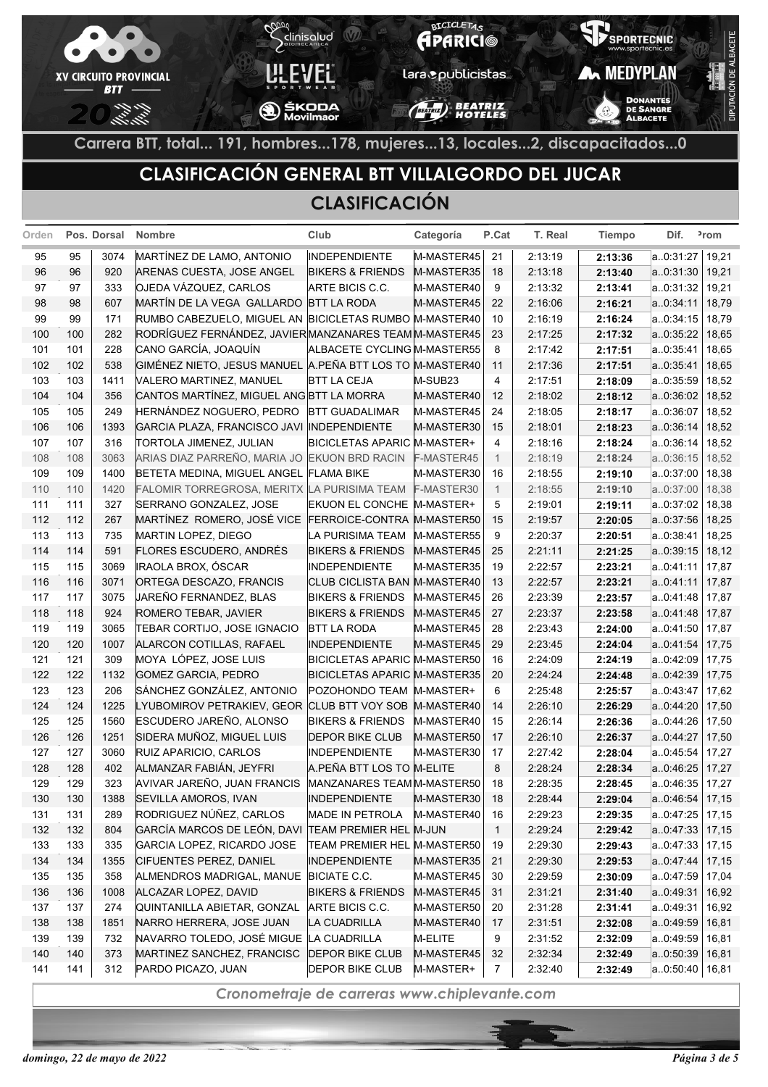

## **CLASIFICACIÓN GENERAL BTT VILLALGORDO DEL JUCAR**

#### **CLASIFICACIÓN**

| Orden      |            | Pos. Dorsal  | <b>Nombre</b>                                            | Club                                           | Categoría                | P.Cat          | T. Real            | <b>Tiempo</b>      | Dif.                   | <sup>2</sup> rom |
|------------|------------|--------------|----------------------------------------------------------|------------------------------------------------|--------------------------|----------------|--------------------|--------------------|------------------------|------------------|
| 95         | 95         | 3074         | MARTÍNEZ DE LAMO, ANTONIO                                | <b>INDEPENDIENTE</b>                           | M-MASTER45               | 21             | 2:13:19            | 2:13:36            | a.0:31:27              | 19,21            |
| 96         | 96         | 920          | ARENAS CUESTA, JOSE ANGEL                                | <b>BIKERS &amp; FRIENDS</b>                    | M-MASTER35               | 18             | 2:13:18            | 2:13:40            | a.0.31.30              | 19,21            |
| 97         | 97         | 333          | OJEDA VÁZQUEZ, CARLOS                                    | ARTE BICIS C.C.                                | M-MASTER40               | 9              | 2:13:32            | 2:13:41            | a.0.31.32              | 19,21            |
| 98         | 98         | 607          | MARTÍN DE LA VEGA GALLARDO BTT LA RODA                   |                                                | M-MASTER45               | 22             | 2:16:06            | 2:16:21            | a.0.34.11              | 18,79            |
| 99         | 99         | 171          | RUMBO CABEZUELO, MIGUEL AN BICICLETAS RUMBO M-MASTER40   |                                                |                          | 10             | 2:16:19            | 2:16:24            | a.0:34:15              | 18,79            |
| 100        | 100        | 282          | RODRÍGUEZ FERNÁNDEZ, JAVIER MANZANARES TEAM M-MASTER45   |                                                |                          | 23             | 2:17:25            | 2:17:32            | a.0.35.22              | 18,65            |
| 101        | 101        | 228          | CANO GARCÍA, JOAQUÍN                                     | ALBACETE CYCLING M-MASTER55                    |                          | 8              | 2:17:42            | 2:17:51            | a.0.35.41              | 18,65            |
| 102        | 102        | 538          | GIMÉNEZ NIETO, JESUS MANUEL A.PEÑA BTT LOS TO M-MASTER40 |                                                |                          | 11             | 2:17:36            | 2:17:51            | a.0:35:41              | 18,65            |
| 103        | 103        | 1411         | VALERO MARTINEZ, MANUEL                                  | <b>BTT LA CEJA</b>                             | M-SUB23                  | $\overline{4}$ | 2:17:51            | 2:18:09            | a0:35:59               | 18,52            |
| 104        | 104        | 356          | CANTOS MARTÍNEZ, MIGUEL ANG BTT LA MORRA                 |                                                | M-MASTER40               | 12             | 2:18:02            | 2:18:12            | a.0:36:02              | 18,52            |
| 105        | 105        | 249          | HERNÁNDEZ NOGUERO, PEDRO                                 | <b>BTT GUADALIMAR</b>                          | M-MASTER45               | 24             | 2:18:05            | 2:18:17            | a.0:36:07              | 18,52            |
| 106        | 106        | 1393         | GARCIA PLAZA, FRANCISCO JAVI INDEPENDIENTE               |                                                | M-MASTER30               | 15             | 2:18:01            | 2:18:23            | a.0:36:14              | 18,52            |
| 107        | 107        | 316          | TORTOLA JIMENEZ, JULIAN                                  | <b>BICICLETAS APARIC M-MASTER+</b>             |                          | 4              | 2:18:16            | 2:18:24            | a. 0:36:14             | 18,52            |
| 108        | 108        | 3063         | ARIAS DIAZ PARREÑO, MARIA JO EKUON BRD RACIN             |                                                | F-MASTER45               | $\overline{1}$ | 2:18:19            | 2:18:24            | a.0:36:15              | 18,52            |
| 109        | 109        | 1400         | BETETA MEDINA, MIGUEL ANGEL FLAMA BIKE                   |                                                | M-MASTER30               | 16             | 2:18:55            | 2:19:10            | a.0:37:00              | 18,38            |
| 110        | 110        | 1420         | FALOMIR TORREGROSA, MERITX LA PURISIMA TEAM              |                                                | F-MASTER30               | $\overline{1}$ | 2:18:55            | 2:19:10            | a0:37:00               | 18,38            |
| 111        | 111        | 327          | SERRANO GONZALEZ, JOSE                                   | EKUON EL CONCHE M-MASTER+                      |                          | 5              | 2:19:01            | 2:19:11            | a.0:37:02              | 18,38            |
| 112        | 112        | 267          | MARTÍNEZ ROMERO, JOSÉ VICE                               | FERROICE-CONTRA M-MASTER50                     |                          | 15             | 2:19:57            | 2:20:05            | a.0.37.56              | 18,25            |
| 113        | 113        | 735          | MARTIN LOPEZ, DIEGO                                      | LA PURISIMA TEAM                               | M-MASTER55               | 9              | 2:20:37            | 2:20:51            | a.0:38:41              | 18,25            |
| 114        | 114        | 591          | <b>FLORES ESCUDERO, ANDRÉS</b>                           | <b>BIKERS &amp; FRIENDS</b>                    | M-MASTER45               | 25             | 2:21:11            | 2:21:25            | a.0:39:15              | 18,12            |
| 115        | 115        | 3069         | IRAOLA BROX, ÓSCAR                                       | INDEPENDIENTE                                  | M-MASTER35               | 19             | 2:22:57            | 2:23:21            | a.0:41:11              | 17,87            |
| 116        | 116        | 3071         | ORTEGA DESCAZO, FRANCIS                                  | CLUB CICLISTA BAN M-MASTER40                   |                          | 13             | 2:22:57            | 2:23:21            | a.0.41.11              | 17,87            |
| 117        | 117        | 3075         | JAREÑO FERNANDEZ, BLAS                                   | <b>BIKERS &amp; FRIENDS</b>                    | M-MASTER45               | 26             | 2:23:39            | 2:23:57            | a.0.41.48              | 17,87            |
| 118        | 118        | 924          | ROMERO TEBAR, JAVIER                                     | <b>BIKERS &amp; FRIENDS</b>                    | M-MASTER45               | 27             | 2:23:37            | 2:23:58            | a.0.41.48              | 17,87            |
| 119        | 119        | 3065         | TEBAR CORTIJO, JOSE IGNACIO                              | <b>BTT LA RODA</b>                             | M-MASTER45               | 28             | 2:23:43            | 2:24:00            | a.0.41.50              | 17,87            |
| 120        | 120        | 1007         | ALARCON COTILLAS, RAFAEL                                 | <b>INDEPENDIENTE</b>                           | M-MASTER45               | 29             | 2:23:45            | 2:24:04            | a.0:41:54              | 17,75            |
| 121        | 121        | 309          | MOYA LÓPEZ, JOSE LUIS                                    | BICICLETAS APARIC M-MASTER50                   |                          | 16             | 2:24:09            | 2:24:19            | a0:42:09               | 17,75            |
| 122        | 122        | 1132         | GOMEZ GARCIA, PEDRO                                      | BICICLETAS APARIC M-MASTER35                   |                          | 20             | 2:24:24            | 2:24:48            | a.0:42:39              | 17,75            |
| 123        | 123        | 206          | SÁNCHEZ GONZÁLEZ, ANTONIO                                | POZOHONDO TEAM M-MASTER+                       |                          | 6              | 2:25:48            | 2:25:57            | a.0:43:47              | 17,62            |
| 124        | 124        | 1225         | LYUBOMIROV PETRAKIEV, GEOR CLUB BTT VOY SOB M-MASTER40   |                                                |                          | 14             | 2:26:10            | 2:26:29            | a.0:44:20              | 17,50            |
| 125        | 125<br>126 | 1560         | ESCUDERO JAREÑO, ALONSO                                  | <b>BIKERS &amp; FRIENDS</b>                    | M-MASTER40               | 15<br>17       | 2:26:14            | 2:26:36            | a.0:44:26              | 17,50            |
| 126<br>127 | 127        | 1251<br>3060 | SIDERA MUÑOZ, MIGUEL LUIS<br>RUIZ APARICIO, CARLOS       | <b>DEPOR BIKE CLUB</b><br><b>INDEPENDIENTE</b> | M-MASTER50<br>M-MASTER30 | 17             | 2:26:10<br>2:27:42 | 2:26:37<br>2:28:04 | a.0:44:27<br>a.0.45.54 | 17,50<br>17,27   |
| 128        | 128        | 402          | ALMANZAR FABIÁN, JEYFRI                                  | A.PEÑA BTT LOS TO M-ELITE                      |                          | 8              | 2:28:24            | 2:28:34            | a.0.46.25              | 17,27            |
| 129        | 129        | 323          | AVIVAR JAREÑO, JUAN FRANCIS                              | MANZANARES TEAM M-MASTER50                     |                          | 18             | 2:28:35            | 2:28:45            | a.0.46:35              | 17,27            |
| 130        | 130        | 1388         | SEVILLA AMOROS, IVAN                                     | <b>INDEPENDIENTE</b>                           | M-MASTER30               | 18             | 2:28:44            | 2:29:04            | a.0.46.54              | 17,15            |
| 131        | 131        | 289          | RODRIGUEZ NÚÑEZ, CARLOS                                  | <b>MADE IN PETROLA</b>                         | M-MASTER40               | 16             | 2:29:23            | 2:29:35            | a.0.47:25              | 17,15            |
| 132        | 132        | 804          | GARCÍA MARCOS DE LEÓN, DAVI                              | <b>TEAM PREMIER HEL M-JUN</b>                  |                          | $\mathbf{1}$   | 2:29:24            | 2:29:42            | a.0.47:33              | 17,15            |
| 133        | 133        | 335          | GARCIA LOPEZ, RICARDO JOSE                               | TEAM PREMIER HEL M-MASTER50                    |                          | 19             | 2:29:30            | 2:29:43            | a.0.47.33              | 17,15            |
| 134        | 134        | 1355         | CIFUENTES PEREZ, DANIEL                                  | <b>INDEPENDIENTE</b>                           | M-MASTER35               | 21             | 2:29:30            | 2:29:53            | a.0.47:44              | 17,15            |
| 135        | 135        | 358          | ALMENDROS MADRIGAL, MANUE                                | <b>BICIATE C.C.</b>                            | M-MASTER45               | 30             | 2:29:59            | 2:30:09            | a.0:47:59              | 17,04            |
| 136        | 136        | 1008         | ALCAZAR LOPEZ, DAVID                                     | <b>BIKERS &amp; FRIENDS</b>                    | M-MASTER45               | 31             | 2:31:21            | 2:31:40            | a.0.49:31              | 16,92            |
| 137        | 137        | 274          | QUINTANILLA ABIETAR, GONZAL                              | ARTE BICIS C.C.                                | M-MASTER50               | 20             | 2:31:28            | 2:31:41            | a.0.49:31              | 16,92            |
| 138        | 138        | 1851         | NARRO HERRERA, JOSE JUAN                                 | LA CUADRILLA                                   | M-MASTER40               | 17             | 2:31:51            | 2:32:08            | a.0.49.59              | 16,81            |
| 139        | 139        | 732          | NAVARRO TOLEDO, JOSÉ MIGUE LA CUADRILLA                  |                                                | M-ELITE                  | 9              | 2:31:52            | 2:32:09            | a.0:49:59              | 16,81            |
| 140        | 140        | 373          | MARTINEZ SANCHEZ, FRANCISC                               | <b>DEPOR BIKE CLUB</b>                         | M-MASTER45               | 32             | 2:32:34            | 2:32:49            | a.0:50:39              | 16,81            |
| 141        | 141        | 312          | PARDO PICAZO, JUAN                                       | <b>DEPOR BIKE CLUB</b>                         | M-MASTER+                | 7              | 2:32:40            | 2:32:49            | a.0.50.40   16.81      |                  |
|            |            |              |                                                          |                                                |                          |                |                    |                    |                        |                  |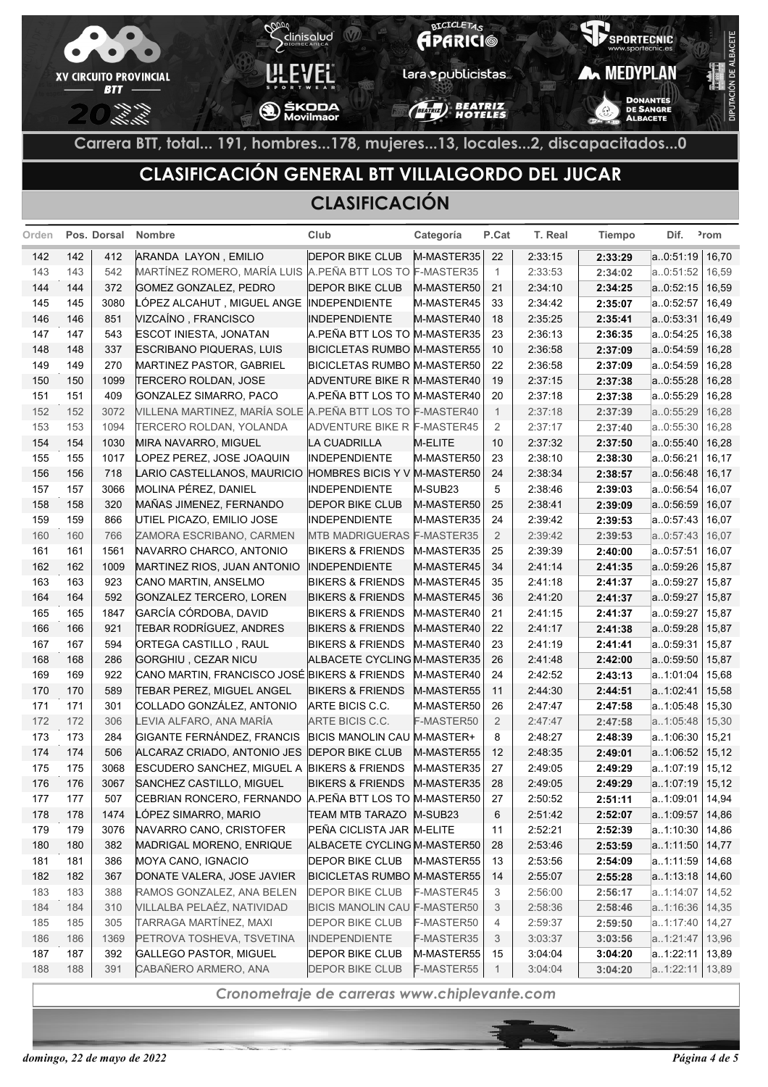

## **CLASIFICACIÓN GENERAL BTT VILLALGORDO DEL JUCAR**

#### **CLASIFICACIÓN**

| Orden |     | Pos. Dorsal | <b>Nombre</b>                                             | Club                               | Categoría  | P.Cat          | T. Real | <b>Tiempo</b> | Dif.           | <sup>2</sup> rom |
|-------|-----|-------------|-----------------------------------------------------------|------------------------------------|------------|----------------|---------|---------------|----------------|------------------|
| 142   | 142 | 412         | ARANDA LAYON, EMILIO                                      | <b>DEPOR BIKE CLUB</b>             | M-MASTER35 | 22             | 2:33:15 | 2:33:29       | a.0.51.19      | 16,70            |
| 143   | 143 | 542         | MARTÍNEZ ROMERO, MARÍA LUIS A PEÑA BTT LOS TO F-MASTER35  |                                    |            | $\mathbf{1}$   | 2:33:53 | 2:34:02       | a0:51:52       | 16,59            |
| 144   | 144 | 372         | GOMEZ GONZALEZ, PEDRO                                     | <b>DEPOR BIKE CLUB</b>             | M-MASTER50 | 21             | 2:34:10 | 2:34:25       | a.0.52.15      | 16,59            |
| 145   | 145 | 3080        | LÓPEZ ALCAHUT , MIGUEL ANGE                               | <b>INDEPENDIENTE</b>               | M-MASTER45 | 33             | 2:34:42 | 2:35:07       | a.0:52:57      | 16,49            |
| 146   | 146 | 851         | VIZCAÍNO, FRANCISCO                                       | <b>INDEPENDIENTE</b>               | M-MASTER40 | 18             | 2:35:25 | 2:35:41       | a.0.53.31      | 16,49            |
| 147   | 147 | 543         | ESCOT INIESTA, JONATAN                                    | A.PEÑA BTT LOS TO M-MASTER35       |            | 23             | 2:36:13 | 2:36:35       | a. 0:54:25     | 16,38            |
| 148   | 148 | 337         | <b>ESCRIBANO PIQUERAS, LUIS</b>                           | <b>BICICLETAS RUMBO M-MASTER55</b> |            | 10             | 2:36:58 | 2:37:09       | a0:54:59       | 16,28            |
| 149   | 149 | 270         | MARTINEZ PASTOR, GABRIEL                                  | BICICLETAS RUMBO M-MASTER50        |            | 22             | 2:36:58 | 2:37:09       | a. 0:54:59     | 16,28            |
| 150   | 150 | 1099        | <b>TERCERO ROLDAN, JOSE</b>                               | ADVENTURE BIKE R M-MASTER40        |            | 19             | 2:37:15 | 2:37:38       | a0:55:28       | 16,28            |
| 151   | 151 | 409         | GONZALEZ SIMARRO, PACO                                    | A.PEÑA BTT LOS TO M-MASTER40       |            | 20             | 2:37:18 | 2:37:38       | a.0.55:29      | 16,28            |
| 152   | 152 | 3072        | VILLENA MARTINEZ, MARÍA SOLE A PEÑA BTT LOS TO F-MASTER40 |                                    |            | $\mathbf{1}$   | 2:37:18 | 2:37:39       | a0:55:29       | 16,28            |
| 153   | 153 | 1094        | TERCERO ROLDAN, YOLANDA                                   | ADVENTURE BIKE R F-MASTER45        |            | 2              | 2:37:17 | 2:37:40       | a0:55:30       | 16,28            |
| 154   | 154 | 1030        | MIRA NAVARRO, MIGUEL                                      | LA CUADRILLA                       | M-ELITE    | 10             | 2:37:32 | 2:37:50       | a.0.55.40      | 16,28            |
| 155   | 155 | 1017        | LOPEZ PEREZ, JOSE JOAQUIN                                 | <b>INDEPENDIENTE</b>               | M-MASTER50 | 23             | 2:38:10 | 2:38:30       | a.0.56:21      | 16,17            |
| 156   | 156 | 718         | LARIO CASTELLANOS, MAURICIO                               | HOMBRES BICIS Y V M-MASTER50       |            | 24             | 2:38:34 | 2:38:57       | a.0.56.48      | 16,17            |
| 157   | 157 | 3066        | MOLINA PÉREZ, DANIEL                                      | <b>INDEPENDIENTE</b>               | M-SUB23    | 5              | 2:38:46 | 2:39:03       | a0:56:54       | 16,07            |
| 158   | 158 | 320         | MAÑAS JIMENEZ, FERNANDO                                   | <b>DEPOR BIKE CLUB</b>             | M-MASTER50 | 25             | 2:38:41 | 2:39:09       | a0:56:59       | 16,07            |
| 159   | 159 | 866         | UTIEL PICAZO, EMILIO JOSE                                 | <b>INDEPENDIENTE</b>               | M-MASTER35 | 24             | 2:39:42 | 2:39:53       | a.0.57.43      | 16,07            |
| 160   | 160 | 766         | ZAMORA ESCRIBANO, CARMEN                                  | <b>MTB MADRIGUERAS F-MASTER35</b>  |            | $\overline{2}$ | 2:39:42 | 2:39:53       | a0:57:43       | 16,07            |
| 161   | 161 | 1561        | NAVARRO CHARCO, ANTONIO                                   | <b>BIKERS &amp; FRIENDS</b>        | M-MASTER35 | 25             | 2:39:39 | 2:40:00       | a.0.57:51      | 16,07            |
| 162   | 162 | 1009        | MARTINEZ RIOS, JUAN ANTONIO                               | <b>INDEPENDIENTE</b>               | M-MASTER45 | 34             | 2:41:14 | 2:41:35       | a.0.59.26      | 15,87            |
| 163   | 163 | 923         | CANO MARTIN, ANSELMO                                      | <b>BIKERS &amp; FRIENDS</b>        | M-MASTER45 | 35             | 2:41:18 | 2:41:37       | a.0.59:27      | 15,87            |
| 164   | 164 | 592         | GONZALEZ TERCERO, LOREN                                   | <b>BIKERS &amp; FRIENDS</b>        | M-MASTER45 | 36             | 2:41:20 | 2:41:37       | a0:59:27       | 15,87            |
| 165   | 165 | 1847        | GARCÍA CÓRDOBA, DAVID                                     | <b>BIKERS &amp; FRIENDS</b>        | M-MASTER40 | 21             | 2:41:15 | 2:41:37       | a.0.59:27      | 15,87            |
| 166   | 166 | 921         | TEBAR RODRÍGUEZ, ANDRES                                   | <b>BIKERS &amp; FRIENDS</b>        | M-MASTER40 | 22             | 2.41.17 | 2:41:38       | a.0.59.28      | 15,87            |
| 167   | 167 | 594         | <b>ORTEGA CASTILLO, RAUL</b>                              | <b>BIKERS &amp; FRIENDS</b>        | M-MASTER40 | 23             | 2:41:19 | 2:41:41       | a.0.59:31      | 15,87            |
| 168   | 168 | 286         | GORGHIU, CEZAR NICU                                       | ALBACETE CYCLING M-MASTER35        |            | 26             | 2:41:48 | 2:42:00       | a.0:59:50      | 15,87            |
| 169   | 169 | 922         | CANO MARTIN, FRANCISCO JOSÉ BIKERS & FRIENDS              |                                    | M-MASTER40 | 24             | 2:42:52 | 2:43:13       | a1:01:04       | 15,68            |
| 170   | 170 | 589         | TEBAR PEREZ, MIGUEL ANGEL                                 | <b>BIKERS &amp; FRIENDS</b>        | M-MASTER55 | 11             | 2:44:30 | 2:44:51       | a1:02:41       | 15,58            |
| 171   | 171 | 301         | COLLADO GONZÁLEZ, ANTONIO                                 | ARTE BICIS C.C.                    | M-MASTER50 | 26             | 2:47:47 | 2:47:58       | a. 1:05:48     | 15,30            |
| 172   | 172 | 306         | LEVIA ALFARO, ANA MARÍA                                   | ARTE BICIS C.C.                    | F-MASTER50 | $\overline{2}$ | 2:47:47 | 2:47:58       | a1:05:48       | 15,30            |
| 173   | 173 | 284         | GIGANTE FERNÁNDEZ, FRANCIS                                | BICIS MANOLIN CAU M-MASTER+        |            | 8              | 2:48:27 | 2:48:39       | a1:06:30       | 15,21            |
| 174   | 174 | 506         | ALCARAZ CRIADO, ANTONIO JES                               | <b>DEPOR BIKE CLUB</b>             | M-MASTER55 | 12             | 2:48:35 | 2:49:01       | a. 1:06:52     | 15,12            |
| 175   | 175 | 3068        | ESCUDERO SANCHEZ, MIGUEL A BIKERS & FRIENDS               |                                    | M-MASTER35 | 27             | 2:49:05 | 2:49:29       | a1:07:19       | 15, 12           |
| 176   | 176 | 3067        | SANCHEZ CASTILLO, MIGUEL                                  | <b>BIKERS &amp; FRIENDS</b>        | M-MASTER35 | 28             | 2:49:05 | 2:49:29       | a1:07:19       | 15, 12           |
| 177   | 177 | 507         | CEBRIAN RONCERO, FERNANDO A PEÑA BTT LOS TO M-MASTER50    |                                    |            | 27             | 2:50:52 | 2:51:11       | a1:09:01       | 14,94            |
| 178   | 178 | 1474        | LÓPEZ SIMARRO, MARIO                                      | <b>TEAM MTB TARAZO</b>             | M-SUB23    | 6              | 2:51:42 | 2:52:07       | a1:09:57       | 14,86            |
| 179   | 179 | 3076        | NAVARRO CANO, CRISTOFER                                   | PEÑA CICLISTA JAR M-ELITE          |            | 11             | 2:52:21 | 2:52:39       | a1:10:30       | 14,86            |
| 180   | 180 | 382         | MADRIGAL MORENO, ENRIQUE                                  | ALBACETE CYCLING M-MASTER50        |            | 28             | 2:53:46 | 2:53:59       | a. 1:11:50     | 14,77            |
| 181   | 181 | 386         | MOYA CANO, IGNACIO                                        | <b>DEPOR BIKE CLUB</b>             | M-MASTER55 | 13             | 2:53:56 | 2:54:09       | a1:11:59       | 14,68            |
| 182   | 182 | 367         | DONATE VALERA, JOSE JAVIER                                | BICICLETAS RUMBO M-MASTER55        |            | 14             | 2:55:07 | 2:55:28       | a. 1:13:18     | 14,60            |
| 183   | 183 | 388         | RAMOS GONZALEZ, ANA BELEN                                 | <b>DEPOR BIKE CLUB</b>             | F-MASTER45 | 3              | 2:56:00 | 2:56:17       | a1:14:07       | 14,52            |
| 184   | 184 | 310         | VILLALBA PELAÉZ, NATIVIDAD                                | BICIS MANOLIN CAU F-MASTER50       |            | 3              | 2:58:36 | 2:58:46       | a1:16:36       | 14,35            |
| 185   | 185 | 305         | TARRAGA MARTÍNEZ, MAXI                                    | <b>DEPOR BIKE CLUB</b>             | F-MASTER50 | 4              | 2:59:37 | 2:59:50       | a1:17:40       | 14,27            |
| 186   | 186 | 1369        | PETROVA TOSHEVA, TSVETINA                                 | <b>INDEPENDIENTE</b>               | F-MASTER35 | 3              | 3:03:37 | 3:03:56       | a1:21:47       | 13,96            |
| 187   | 187 | 392         | GALLEGO PASTOR, MIGUEL                                    | <b>DEPOR BIKE CLUB</b>             | M-MASTER55 | 15             | 3:04:04 | 3:04:20       | a1:22:11       | 13,89            |
| 188   | 188 | 391         | CABAÑERO ARMERO, ANA                                      | DEPOR BIKE CLUB                    | F-MASTER55 | $\mathbf 1$    | 3:04:04 | 3:04:20       | a1:22:11 13,89 |                  |